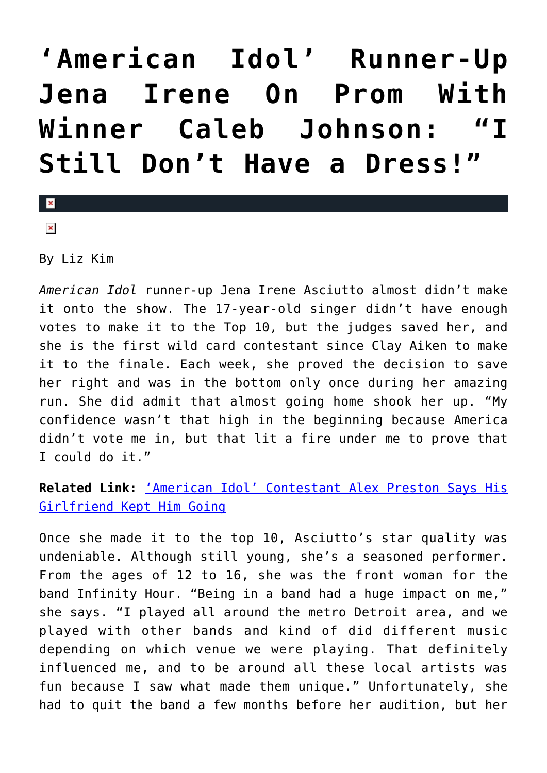## **['American Idol' Runner-Up](https://cupidspulse.com/75378/american-idol-runner-up-jena-irene-on-prom-with-winner-caleb-johnson-i-still-dont-have-a-dress/) [Jena Irene On Prom With](https://cupidspulse.com/75378/american-idol-runner-up-jena-irene-on-prom-with-winner-caleb-johnson-i-still-dont-have-a-dress/)** Winner Caleb Johnson: **[Still Don't Have a Dress!"](https://cupidspulse.com/75378/american-idol-runner-up-jena-irene-on-prom-with-winner-caleb-johnson-i-still-dont-have-a-dress/)**

 $\vert \mathbf{x} \vert$  $\pmb{\times}$ 

By Liz Kim

*American Idol* runner-up Jena Irene Asciutto almost didn't make it onto the show. The 17-year-old singer didn't have enough votes to make it to the Top 10, but the judges saved her, and she is the first wild card contestant since Clay Aiken to make it to the finale. Each week, she proved the decision to save her right and was in the bottom only once during her amazing run. She did admit that almost going home shook her up. "My confidence wasn't that high in the beginning because America didn't vote me in, but that lit a fire under me to prove that I could do it."

## **Related Link:** ['American Idol' Contestant Alex Preston Says His](http://cupidspulse.com/75302/american-idol-contestant-alex-preston-says-his-girlfriend-kept-him-going/) [Girlfriend Kept Him Going](http://cupidspulse.com/75302/american-idol-contestant-alex-preston-says-his-girlfriend-kept-him-going/)

Once she made it to the top 10, Asciutto's star quality was undeniable. Although still young, she's a seasoned performer. From the ages of 12 to 16, she was the front woman for the band Infinity Hour. "Being in a band had a huge impact on me," she says. "I played all around the metro Detroit area, and we played with other bands and kind of did different music depending on which venue we were playing. That definitely influenced me, and to be around all these local artists was fun because I saw what made them unique." Unfortunately, she had to quit the band a few months before her audition, but her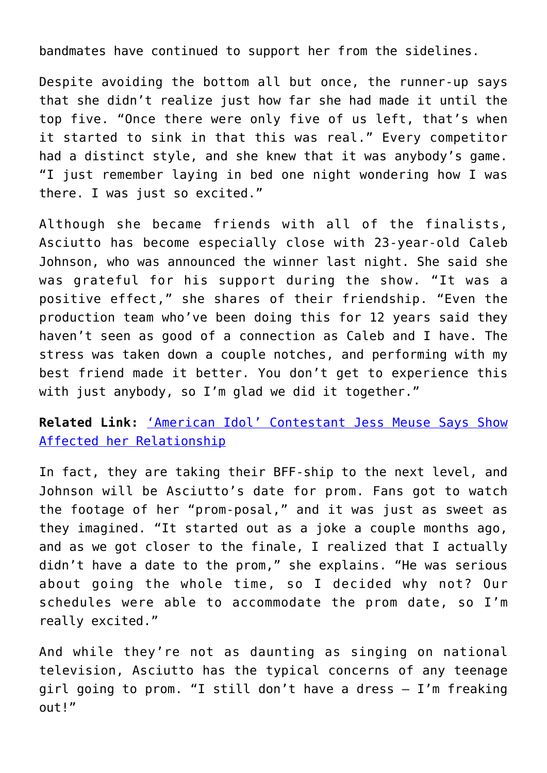bandmates have continued to support her from the sidelines.

Despite avoiding the bottom all but once, the runner-up says that she didn't realize just how far she had made it until the top five. "Once there were only five of us left, that's when it started to sink in that this was real." Every competitor had a distinct style, and she knew that it was anybody's game. "I just remember laying in bed one night wondering how I was there. I was just so excited."

Although she became friends with all of the finalists, Asciutto has become especially close with 23-year-old Caleb Johnson, who was announced the winner last night. She said she was grateful for his support during the show. "It was a positive effect," she shares of their friendship. "Even the production team who've been doing this for 12 years said they haven't seen as good of a connection as Caleb and I have. The stress was taken down a couple notches, and performing with my best friend made it better. You don't get to experience this with just anybody, so I'm glad we did it together."

**Related Link:** ['American Idol' Contestant Jess Meuse Says Show](http://cupidspulse.com/75285/american-idol-contestant-jessica-meuse-says-show-affected-her-relationship/) [Affected her Relationship](http://cupidspulse.com/75285/american-idol-contestant-jessica-meuse-says-show-affected-her-relationship/)

In fact, they are taking their BFF-ship to the next level, and Johnson will be Asciutto's date for prom. Fans got to watch the footage of her "prom-posal," and it was just as sweet as they imagined. "It started out as a joke a couple months ago, and as we got closer to the finale, I realized that I actually didn't have a date to the prom," she explains. "He was serious about going the whole time, so I decided why not? Our schedules were able to accommodate the prom date, so I'm really excited."

And while they're not as daunting as singing on national television, Asciutto has the typical concerns of any teenage girl going to prom. "I still don't have a dress — I'm freaking out!"